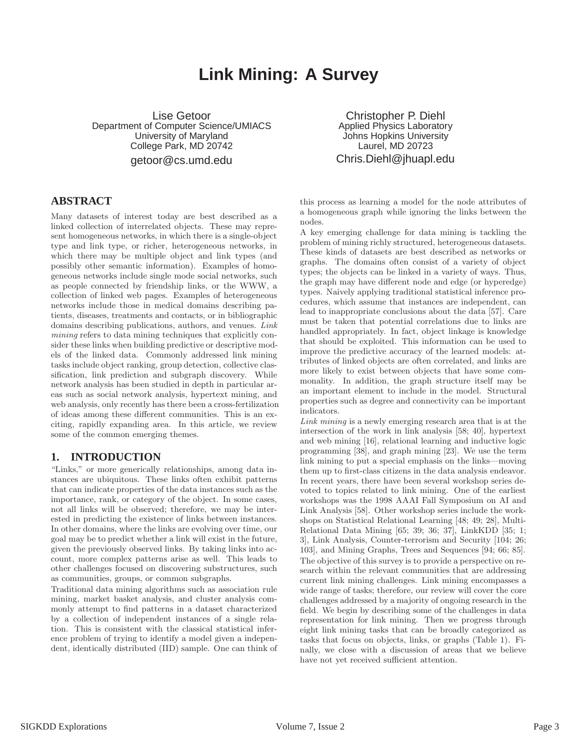# **Link Mining: A Survey**

Lise Getoor Department of Computer Science/UMIACS University of Maryland College Park, MD 20742 getoor@cs.umd.edu

#### **ABSTRACT**

Many datasets of interest today are best described as a linked collection of interrelated objects. These may represent homogeneous networks, in which there is a single-object type and link type, or richer, heterogeneous networks, in which there may be multiple object and link types (and possibly other semantic information). Examples of homogeneous networks include single mode social networks, such as people connected by friendship links, or the WWW, a collection of linked web pages. Examples of heterogeneous networks include those in medical domains describing patients, diseases, treatments and contacts, or in bibliographic domains describing publications, authors, and venues. Link mining refers to data mining techniques that explicitly consider these links when building predictive or descriptive models of the linked data. Commonly addressed link mining tasks include object ranking, group detection, collective classification, link prediction and subgraph discovery. While network analysis has been studied in depth in particular areas such as social network analysis, hypertext mining, and web analysis, only recently has there been a cross-fertilization of ideas among these different communities. This is an exciting, rapidly expanding area. In this article, we review some of the common emerging themes.

#### **1. INTRODUCTION**

"Links," or more generically relationships, among data instances are ubiquitous. These links often exhibit patterns that can indicate properties of the data instances such as the importance, rank, or category of the object. In some cases, not all links will be observed; therefore, we may be interested in predicting the existence of links between instances. In other domains, where the links are evolving over time, our goal may be to predict whether a link will exist in the future, given the previously observed links. By taking links into account, more complex patterns arise as well. This leads to other challenges focused on discovering substructures, such as communities, groups, or common subgraphs.

Traditional data mining algorithms such as association rule mining, market basket analysis, and cluster analysis commonly attempt to find patterns in a dataset characterized by a collection of independent instances of a single relation. This is consistent with the classical statistical inference problem of trying to identify a model given a independent, identically distributed (IID) sample. One can think of

Christopher P. Diehl Applied Physics Laboratory Johns Hopkins University Laurel, MD 20723 Chris.Diehl@jhuapl.edu

this process as learning a model for the node attributes of a homogeneous graph while ignoring the links between the nodes.

A key emerging challenge for data mining is tackling the problem of mining richly structured, heterogeneous datasets. These kinds of datasets are best described as networks or graphs. The domains often consist of a variety of object types; the objects can be linked in a variety of ways. Thus, the graph may have different node and edge (or hyperedge) types. Naively applying traditional statistical inference procedures, which assume that instances are independent, can lead to inappropriate conclusions about the data [57]. Care must be taken that potential correlations due to links are handled appropriately. In fact, object linkage is knowledge that should be exploited. This information can be used to improve the predictive accuracy of the learned models: attributes of linked objects are often correlated, and links are more likely to exist between objects that have some commonality. In addition, the graph structure itself may be an important element to include in the model. Structural properties such as degree and connectivity can be important indicators.

Link mining is a newly emerging research area that is at the intersection of the work in link analysis [58; 40], hypertext and web mining [16], relational learning and inductive logic programming [38], and graph mining [23]. We use the term link mining to put a special emphasis on the links—moving them up to first-class citizens in the data analysis endeavor. In recent years, there have been several workshop series devoted to topics related to link mining. One of the earliest workshops was the 1998 AAAI Fall Symposium on AI and Link Analysis [58]. Other workshop series include the workshops on Statistical Relational Learning [48; 49; 28], Multi-Relational Data Mining [65; 39; 36; 37], LinkKDD [35; 1; 3], Link Analysis, Counter-terrorism and Security [104; 26; 103], and Mining Graphs, Trees and Sequences [94; 66; 85]. The objective of this survey is to provide a perspective on research within the relevant communities that are addressing current link mining challenges. Link mining encompasses a wide range of tasks; therefore, our review will cover the core challenges addressed by a majority of ongoing research in the field. We begin by describing some of the challenges in data representation for link mining. Then we progress through eight link mining tasks that can be broadly categorized as tasks that focus on objects, links, or graphs (Table 1). Finally, we close with a discussion of areas that we believe have not yet received sufficient attention.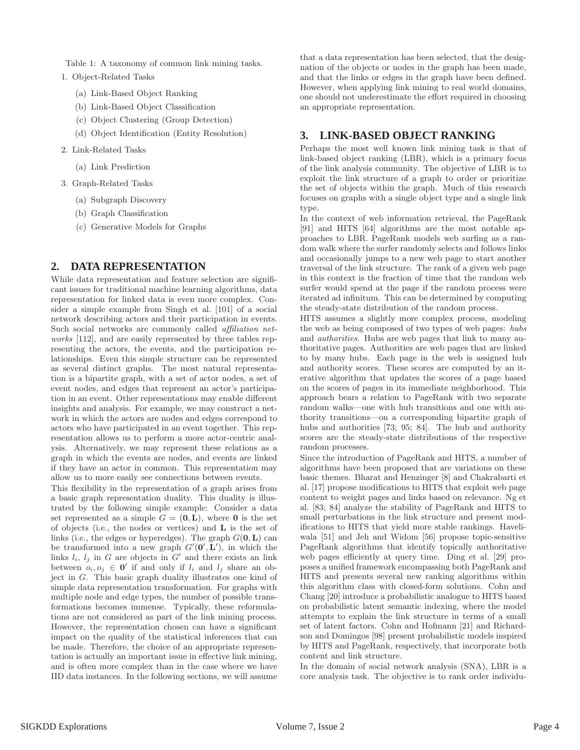Table 1: A taxonomy of common link mining tasks.

- 1. Object-Related Tasks
	- (a) Link-Based Object Ranking
	- (b) Link-Based Object Classification
	- (c) Object Clustering (Group Detection)
	- (d) Object Identification (Entity Resolution)
- 2. Link-Related Tasks
	- (a) Link Prediction
- 3. Graph-Related Tasks
	- (a) Subgraph Discovery
	- (b) Graph Classification
	- (c) Generative Models for Graphs

#### **2. DATA REPRESENTATION**

While data representation and feature selection are significant issues for traditional machine learning algorithms, data representation for linked data is even more complex. Consider a simple example from Singh et al. [101] of a social network describing actors and their participation in events. Such social networks are commonly called *affiliation net*works [112], and are easily represented by three tables representing the actors, the events, and the participation relationships. Even this simple structure can be represented as several distinct graphs. The most natural representation is a bipartite graph, with a set of actor nodes, a set of event nodes, and edges that represent an actor's participation in an event. Other representations may enable different insights and analysis. For example, we may construct a network in which the actors are nodes and edges correspond to actors who have participated in an event together. This representation allows us to perform a more actor-centric analysis. Alternatively, we may represent these relations as a graph in which the events are nodes, and events are linked if they have an actor in common. This representation may allow us to more easily see connections between events.

This flexibility in the representation of a graph arises from a basic graph representation duality. This duality is illustrated by the following simple example: Consider a data set represented as a simple  $G = (0, L)$ , where 0 is the set of objects (i.e., the nodes or vertices) and L is the set of links (i.e., the edges or hyperedges). The graph  $G(0, L)$  can be transformed into a new graph  $G'(\mathbf{0}', \mathbf{L}')$ , in which the links  $l_i$ ,  $l_j$  in G are objects in  $G'$  and there exists an link between  $o_i, o_j \in \mathbf{0}'$  if and only if  $l_i$  and  $l_j$  share an object in G. This basic graph duality illustrates one kind of simple data representation transformation. For graphs with multiple node and edge types, the number of possible transformations becomes immense. Typically, these reformulations are not considered as part of the link mining process. However, the representation chosen can have a significant impact on the quality of the statistical inferences that can be made. Therefore, the choice of an appropriate representation is actually an important issue in effective link mining, and is often more complex than in the case where we have IID data instances. In the following sections, we will assume

that a data representation has been selected, that the designation of the objects or nodes in the graph has been made, and that the links or edges in the graph have been defined. However, when applying link mining to real world domains, one should not underestimate the effort required in choosing an appropriate representation.

## **3. LINK-BASED OBJECT RANKING**

Perhaps the most well known link mining task is that of link-based object ranking (LBR), which is a primary focus of the link analysis community. The objective of LBR is to exploit the link structure of a graph to order or prioritize the set of objects within the graph. Much of this research focuses on graphs with a single object type and a single link type.

In the context of web information retrieval, the PageRank [91] and HITS [64] algorithms are the most notable approaches to LBR. PageRank models web surfing as a random walk where the surfer randomly selects and follows links and occasionally jumps to a new web page to start another traversal of the link structure. The rank of a given web page in this context is the fraction of time that the random web surfer would spend at the page if the random process were iterated ad infinitum. This can be determined by computing the steady-state distribution of the random process.

HITS assumes a slightly more complex process, modeling the web as being composed of two types of web pages: hubs and authorities. Hubs are web pages that link to many authoritative pages. Authorities are web pages that are linked to by many hubs. Each page in the web is assigned hub and authority scores. These scores are computed by an iterative algorithm that updates the scores of a page based on the scores of pages in its immediate neighborhood. This approach bears a relation to PageRank with two separate random walks—one with hub transitions and one with authority transitions—on a corresponding bipartite graph of hubs and authorities [73; 95; 84]. The hub and authority scores are the steady-state distributions of the respective random processes.

Since the introduction of PageRank and HITS, a number of algorithms have been proposed that are variations on these basic themes. Bharat and Henzinger [8] and Chakrabarti et al. [17] propose modifications to HITS that exploit web page content to weight pages and links based on relevance. Ng et al. [83; 84] analyze the stability of PageRank and HITS to small perturbations in the link structure and present modifications to HITS that yield more stable rankings. Haveliwala [51] and Jeh and Widom [56] propose topic-sensitive PageRank algorithms that identify topically authoritative web pages efficiently at query time. Ding et al. [29] proposes a unified framework encompassing both PageRank and HITS and presents several new ranking algorithms within this algorithm class with closed-form solutions. Cohn and Chang [20] introduce a probabilistic analogue to HITS based on probabilistic latent semantic indexing, where the model attempts to explain the link structure in terms of a small set of latent factors. Cohn and Hofmann [21] and Richardson and Domingos [98] present probabilistic models inspired by HITS and PageRank, respectively, that incorporate both content and link structure.

In the domain of social network analysis (SNA), LBR is a core analysis task. The objective is to rank order individu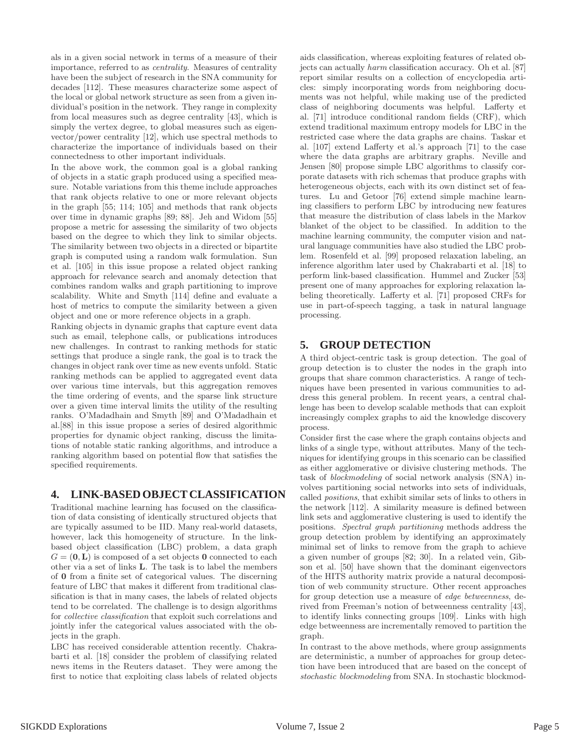als in a given social network in terms of a measure of their importance, referred to as centrality. Measures of centrality have been the subject of research in the SNA community for decades [112]. These measures characterize some aspect of the local or global network structure as seen from a given individual's position in the network. They range in complexity from local measures such as degree centrality [43], which is simply the vertex degree, to global measures such as eigenvector/power centrality [12], which use spectral methods to characterize the importance of individuals based on their connectedness to other important individuals.

In the above work, the common goal is a global ranking of objects in a static graph produced using a specified measure. Notable variations from this theme include approaches that rank objects relative to one or more relevant objects in the graph [55; 114; 105] and methods that rank objects over time in dynamic graphs [89; 88]. Jeh and Widom [55] propose a metric for assessing the similarity of two objects based on the degree to which they link to similar objects. The similarity between two objects in a directed or bipartite graph is computed using a random walk formulation. Sun et al. [105] in this issue propose a related object ranking approach for relevance search and anomaly detection that combines random walks and graph partitioning to improve scalability. White and Smyth [114] define and evaluate a host of metrics to compute the similarity between a given object and one or more reference objects in a graph.

Ranking objects in dynamic graphs that capture event data such as email, telephone calls, or publications introduces new challenges. In contrast to ranking methods for static settings that produce a single rank, the goal is to track the changes in object rank over time as new events unfold. Static ranking methods can be applied to aggregated event data over various time intervals, but this aggregation removes the time ordering of events, and the sparse link structure over a given time interval limits the utility of the resulting ranks. O'Madadhain and Smyth [89] and O'Madadhain et al.[88] in this issue propose a series of desired algorithmic properties for dynamic object ranking, discuss the limitations of notable static ranking algorithms, and introduce a ranking algorithm based on potential flow that satisfies the specified requirements.

#### **4. LINK-BASEDOBJECT CLASSIFICATION**

Traditional machine learning has focused on the classification of data consisting of identically structured objects that are typically assumed to be IID. Many real-world datasets, however, lack this homogeneity of structure. In the linkbased object classification (LBC) problem, a data graph  $G = (0, L)$  is composed of a set objects 0 connected to each other via a set of links L. The task is to label the members of 0 from a finite set of categorical values. The discerning feature of LBC that makes it different from traditional classification is that in many cases, the labels of related objects tend to be correlated. The challenge is to design algorithms for collective classification that exploit such correlations and jointly infer the categorical values associated with the objects in the graph.

LBC has received considerable attention recently. Chakrabarti et al. [18] consider the problem of classifying related news items in the Reuters dataset. They were among the first to notice that exploiting class labels of related objects aids classification, whereas exploiting features of related objects can actually harm classification accuracy. Oh et al. [87] report similar results on a collection of encyclopedia articles: simply incorporating words from neighboring documents was not helpful, while making use of the predicted class of neighboring documents was helpful. Lafferty et al. [71] introduce conditional random fields (CRF), which extend traditional maximum entropy models for LBC in the restricted case where the data graphs are chains. Taskar et al. [107] extend Lafferty et al.'s approach [71] to the case where the data graphs are arbitrary graphs. Neville and Jensen [80] propose simple LBC algorithms to classify corporate datasets with rich schemas that produce graphs with heterogeneous objects, each with its own distinct set of features. Lu and Getoor [76] extend simple machine learning classifiers to perform LBC by introducing new features that measure the distribution of class labels in the Markov blanket of the object to be classified. In addition to the machine learning community, the computer vision and natural language communities have also studied the LBC problem. Rosenfeld et al. [99] proposed relaxation labeling, an inference algorithm later used by Chakrabarti et al. [18] to perform link-based classification. Hummel and Zucker [53] present one of many approaches for exploring relaxation labeling theoretically. Lafferty et al. [71] proposed CRFs for use in part-of-speech tagging, a task in natural language processing.

# **5. GROUP DETECTION**

A third object-centric task is group detection. The goal of group detection is to cluster the nodes in the graph into groups that share common characteristics. A range of techniques have been presented in various communities to address this general problem. In recent years, a central challenge has been to develop scalable methods that can exploit increasingly complex graphs to aid the knowledge discovery process.

Consider first the case where the graph contains objects and links of a single type, without attributes. Many of the techniques for identifying groups in this scenario can be classified as either agglomerative or divisive clustering methods. The task of blockmodeling of social network analysis (SNA) involves partitioning social networks into sets of individuals, called positions, that exhibit similar sets of links to others in the network [112]. A similarity measure is defined between link sets and agglomerative clustering is used to identify the positions. Spectral graph partitioning methods address the group detection problem by identifying an approximately minimal set of links to remove from the graph to achieve a given number of groups [82; 30]. In a related vein, Gibson et al. [50] have shown that the dominant eigenvectors of the HITS authority matrix provide a natural decomposition of web community structure. Other recent approaches for group detection use a measure of edge betweenness, derived from Freeman's notion of betweenness centrality [43], to identify links connecting groups [109]. Links with high edge betweenness are incrementally removed to partition the graph.

In contrast to the above methods, where group assignments are deterministic, a number of approaches for group detection have been introduced that are based on the concept of stochastic blockmodeling from SNA. In stochastic blockmod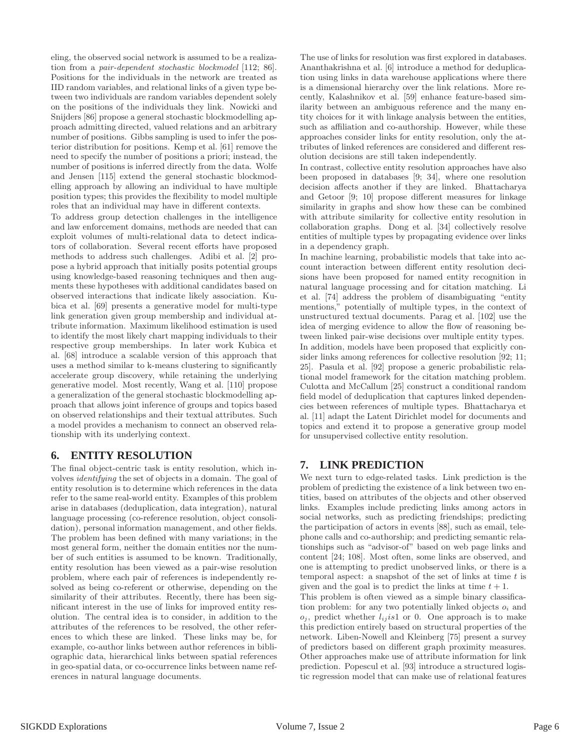eling, the observed social network is assumed to be a realization from a pair-dependent stochastic blockmodel [112; 86]. Positions for the individuals in the network are treated as IID random variables, and relational links of a given type between two individuals are random variables dependent solely on the positions of the individuals they link. Nowicki and Snijders [86] propose a general stochastic blockmodelling approach admitting directed, valued relations and an arbitrary number of positions. Gibbs sampling is used to infer the posterior distribution for positions. Kemp et al. [61] remove the need to specify the number of positions a priori; instead, the number of positions is inferred directly from the data. Wolfe and Jensen [115] extend the general stochastic blockmodelling approach by allowing an individual to have multiple position types; this provides the flexibility to model multiple roles that an individual may have in different contexts.

To address group detection challenges in the intelligence and law enforcement domains, methods are needed that can exploit volumes of multi-relational data to detect indicators of collaboration. Several recent efforts have proposed methods to address such challenges. Adibi et al. [2] propose a hybrid approach that initially posits potential groups using knowledge-based reasoning techniques and then augments these hypotheses with additional candidates based on observed interactions that indicate likely association. Kubica et al. [69] presents a generative model for multi-type link generation given group membership and individual attribute information. Maximum likelihood estimation is used to identify the most likely chart mapping individuals to their respective group memberships. In later work Kubica et al. [68] introduce a scalable version of this approach that uses a method similar to k-means clustering to significantly accelerate group discovery, while retaining the underlying generative model. Most recently, Wang et al. [110] propose a generalization of the general stochastic blockmodelling approach that allows joint inference of groups and topics based on observed relationships and their textual attributes. Such a model provides a mechanism to connect an observed relationship with its underlying context.

# **6. ENTITY RESOLUTION**

The final object-centric task is entity resolution, which involves identifying the set of objects in a domain. The goal of entity resolution is to determine which references in the data refer to the same real-world entity. Examples of this problem arise in databases (deduplication, data integration), natural language processing (co-reference resolution, object consolidation), personal information management, and other fields. The problem has been defined with many variations; in the most general form, neither the domain entities nor the number of such entities is assumed to be known. Traditionally, entity resolution has been viewed as a pair-wise resolution problem, where each pair of references is independently resolved as being co-referent or otherwise, depending on the similarity of their attributes. Recently, there has been significant interest in the use of links for improved entity resolution. The central idea is to consider, in addition to the attributes of the references to be resolved, the other references to which these are linked. These links may be, for example, co-author links between author references in bibliographic data, hierarchical links between spatial references in geo-spatial data, or co-occurrence links between name references in natural language documents.

The use of links for resolution was first explored in databases. Ananthakrishna et al. [6] introduce a method for deduplication using links in data warehouse applications where there is a dimensional hierarchy over the link relations. More recently, Kalashnikov et al. [59] enhance feature-based similarity between an ambiguous reference and the many entity choices for it with linkage analysis between the entities, such as affiliation and co-authorship. However, while these approaches consider links for entity resolution, only the attributes of linked references are considered and different resolution decisions are still taken independently.

In contrast, collective entity resolution approaches have also been proposed in databases [9; 34], where one resolution decision affects another if they are linked. Bhattacharya and Getoor [9; 10] propose different measures for linkage similarity in graphs and show how these can be combined with attribute similarity for collective entity resolution in collaboration graphs. Dong et al. [34] collectively resolve entities of multiple types by propagating evidence over links in a dependency graph.

In machine learning, probabilistic models that take into account interaction between different entity resolution decisions have been proposed for named entity recognition in natural language processing and for citation matching. Li et al. [74] address the problem of disambiguating "entity mentions," potentially of multiple types, in the context of unstructured textual documents. Parag et al. [102] use the idea of merging evidence to allow the flow of reasoning between linked pair-wise decisions over multiple entity types. In addition, models have been proposed that explicitly consider links among references for collective resolution [92; 11; 25]. Pasula et al. [92] propose a generic probabilistic relational model framework for the citation matching problem. Culotta and McCallum [25] construct a conditional random field model of deduplication that captures linked dependencies between references of multiple types. Bhattacharya et al. [11] adapt the Latent Dirichlet model for documents and topics and extend it to propose a generative group model for unsupervised collective entity resolution.

# **7. LINK PREDICTION**

We next turn to edge-related tasks. Link prediction is the problem of predicting the existence of a link between two entities, based on attributes of the objects and other observed links. Examples include predicting links among actors in social networks, such as predicting friendships; predicting the participation of actors in events [88], such as email, telephone calls and co-authorship; and predicting semantic relationships such as "advisor-of" based on web page links and content [24; 108]. Most often, some links are observed, and one is attempting to predict unobserved links, or there is a temporal aspect: a snapshot of the set of links at time  $t$  is given and the goal is to predict the links at time  $t + 1$ .

This problem is often viewed as a simple binary classification problem: for any two potentially linked objects  $o_i$  and  $o_i$ , predict whether  $l_{ij}$  is 1 or 0. One approach is to make this prediction entirely based on structural properties of the network. Liben-Nowell and Kleinberg [75] present a survey of predictors based on different graph proximity measures. Other approaches make use of attribute information for link prediction. Popescul et al. [93] introduce a structured logistic regression model that can make use of relational features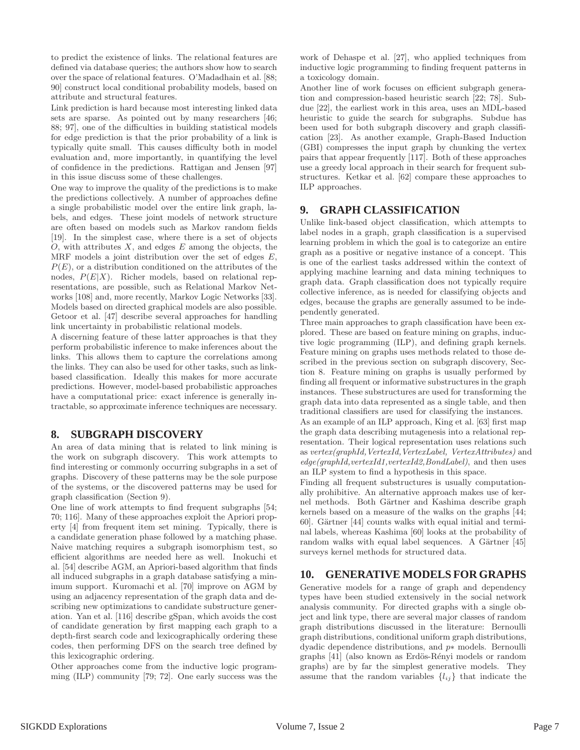to predict the existence of links. The relational features are defined via database queries; the authors show how to search over the space of relational features. O'Madadhain et al. [88; 90] construct local conditional probability models, based on attribute and structural features.

Link prediction is hard because most interesting linked data sets are sparse. As pointed out by many researchers [46; 88; 97], one of the difficulties in building statistical models for edge prediction is that the prior probability of a link is typically quite small. This causes difficulty both in model evaluation and, more importantly, in quantifying the level of confidence in the predictions. Rattigan and Jensen [97] in this issue discuss some of these challenges.

One way to improve the quality of the predictions is to make the predictions collectively. A number of approaches define a single probabilistic model over the entire link graph, labels, and edges. These joint models of network structure are often based on models such as Markov random fields [19]. In the simplest case, where there is a set of objects O, with attributes  $X$ , and edges  $E$  among the objects, the MRF models a joint distribution over the set of edges  $E$ ,  $P(E)$ , or a distribution conditioned on the attributes of the nodes,  $P(E|X)$ . Richer models, based on relational representations, are possible, such as Relational Markov Networks [108] and, more recently, Markov Logic Networks [33]. Models based on directed graphical models are also possible. Getoor et al. [47] describe several approaches for handling link uncertainty in probabilistic relational models.

A discerning feature of these latter approaches is that they perform probabilistic inference to make inferences about the links. This allows them to capture the correlations among the links. They can also be used for other tasks, such as linkbased classification. Ideally this makes for more accurate predictions. However, model-based probabilistic approaches have a computational price: exact inference is generally intractable, so approximate inference techniques are necessary.

#### **8. SUBGRAPH DISCOVERY**

An area of data mining that is related to link mining is the work on subgraph discovery. This work attempts to find interesting or commonly occurring subgraphs in a set of graphs. Discovery of these patterns may be the sole purpose of the systems, or the discovered patterns may be used for graph classification (Section 9).

One line of work attempts to find frequent subgraphs [54; 70; 116]. Many of these approaches exploit the Apriori property [4] from frequent item set mining. Typically, there is a candidate generation phase followed by a matching phase. Naive matching requires a subgraph isomorphism test, so efficient algorithms are needed here as well. Inokuchi et al. [54] describe AGM, an Apriori-based algorithm that finds all induced subgraphs in a graph database satisfying a minimum support. Kuromachi et al. [70] improve on AGM by using an adjacency representation of the graph data and describing new optimizations to candidate substructure generation. Yan et al. [116] describe gSpan, which avoids the cost of candidate generation by first mapping each graph to a depth-first search code and lexicographically ordering these codes, then performing DFS on the search tree defined by this lexicographic ordering.

Other approaches come from the inductive logic programming (ILP) community [79; 72]. One early success was the

work of Dehaspe et al. [27], who applied techniques from inductive logic programming to finding frequent patterns in a toxicology domain.

Another line of work focuses on efficient subgraph generation and compression-based heuristic search [22; 78]. Subdue [22], the earliest work in this area, uses an MDL-based heuristic to guide the search for subgraphs. Subdue has been used for both subgraph discovery and graph classification [23]. As another example, Graph-Based Induction (GBI) compresses the input graph by chunking the vertex pairs that appear frequently [117]. Both of these approaches use a greedy local approach in their search for frequent substructures. Ketkar et al. [62] compare these approaches to ILP approaches.

## **9. GRAPH CLASSIFICATION**

Unlike link-based object classification, which attempts to label nodes in a graph, graph classification is a supervised learning problem in which the goal is to categorize an entire graph as a positive or negative instance of a concept. This is one of the earliest tasks addressed within the context of applying machine learning and data mining techniques to graph data. Graph classification does not typically require collective inference, as is needed for classifying objects and edges, because the graphs are generally assumed to be independently generated.

Three main approaches to graph classification have been explored. These are based on feature mining on graphs, inductive logic programming (ILP), and defining graph kernels. Feature mining on graphs uses methods related to those described in the previous section on subgraph discovery, Section 8. Feature mining on graphs is usually performed by finding all frequent or informative substructures in the graph instances. These substructures are used for transforming the graph data into data represented as a single table, and then traditional classifiers are used for classifying the instances. As an example of an ILP approach, King et al. [63] first map the graph data describing mutagenesis into a relational representation. Their logical representation uses relations such as vertex(graphId,VertexId,VertexLabel, VertexAttributes) and edge(graphId,vertexId1,vertexId2,BondLabel), and then uses an ILP system to find a hypothesis in this space.

Finding all frequent substructures is usually computationally prohibitive. An alternative approach makes use of kernel methods. Both Gärtner and Kashima describe graph kernels based on a measure of the walks on the graphs [44; 60. Gärtner  $[44]$  counts walks with equal initial and terminal labels, whereas Kashima [60] looks at the probability of random walks with equal label sequences. A Gärtner [45] surveys kernel methods for structured data.

# **10. GENERATIVE MODELS FOR GRAPHS**

Generative models for a range of graph and dependency types have been studied extensively in the social network analysis community. For directed graphs with a single object and link type, there are several major classes of random graph distributions discussed in the literature: Bernoulli graph distributions, conditional uniform graph distributions, dyadic dependence distributions, and p∗ models. Bernoulli graphs [41] (also known as Erdös-Rényi models or random graphs) are by far the simplest generative models. They assume that the random variables  $\{l_{ij}\}\$  that indicate the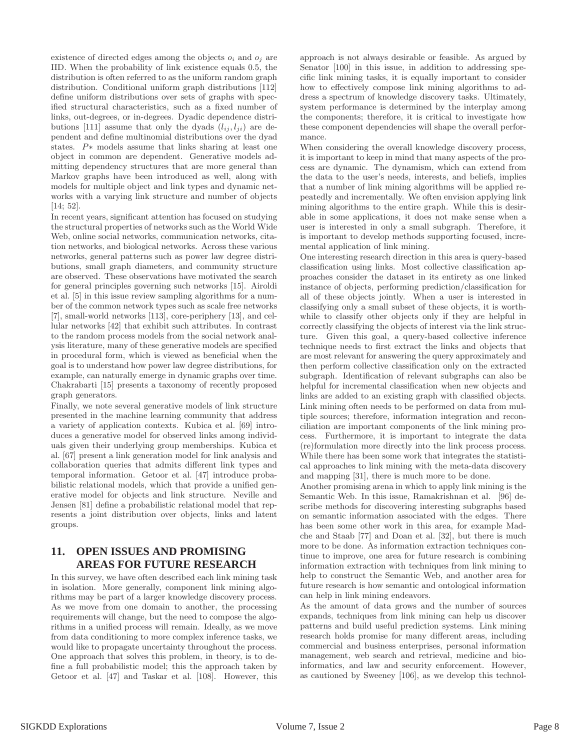existence of directed edges among the objects  $o_i$  and  $o_j$  are IID. When the probability of link existence equals 0.5, the distribution is often referred to as the uniform random graph distribution. Conditional uniform graph distributions [112] define uniform distributions over sets of graphs with specified structural characteristics, such as a fixed number of links, out-degrees, or in-degrees. Dyadic dependence distributions [111] assume that only the dyads  $(l_{ij}, l_{ji})$  are dependent and define multinomial distributions over the dyad states. P∗ models assume that links sharing at least one object in common are dependent. Generative models admitting dependency structures that are more general than Markov graphs have been introduced as well, along with models for multiple object and link types and dynamic networks with a varying link structure and number of objects [14; 52].

In recent years, significant attention has focused on studying the structural properties of networks such as the World Wide Web, online social networks, communication networks, citation networks, and biological networks. Across these various networks, general patterns such as power law degree distributions, small graph diameters, and community structure are observed. These observations have motivated the search for general principles governing such networks [15]. Airoldi et al. [5] in this issue review sampling algorithms for a number of the common network types such as scale free networks [7], small-world networks [113], core-periphery [13], and cellular networks [42] that exhibit such attributes. In contrast to the random process models from the social network analysis literature, many of these generative models are specified in procedural form, which is viewed as beneficial when the goal is to understand how power law degree distributions, for example, can naturally emerge in dynamic graphs over time. Chakrabarti [15] presents a taxonomy of recently proposed graph generators.

Finally, we note several generative models of link structure presented in the machine learning community that address a variety of application contexts. Kubica et al. [69] introduces a generative model for observed links among individuals given their underlying group memberships. Kubica et al. [67] present a link generation model for link analysis and collaboration queries that admits different link types and temporal information. Getoor et al. [47] introduce probabilistic relational models, which that provide a unified generative model for objects and link structure. Neville and Jensen [81] define a probabilistic relational model that represents a joint distribution over objects, links and latent groups.

# **11. OPEN ISSUES AND PROMISING AREAS FOR FUTURE RESEARCH**

In this survey, we have often described each link mining task in isolation. More generally, component link mining algorithms may be part of a larger knowledge discovery process. As we move from one domain to another, the processing requirements will change, but the need to compose the algorithms in a unified process will remain. Ideally, as we move from data conditioning to more complex inference tasks, we would like to propagate uncertainty throughout the process. One approach that solves this problem, in theory, is to define a full probabilistic model; this the approach taken by Getoor et al. [47] and Taskar et al. [108]. However, this approach is not always desirable or feasible. As argued by Senator [100] in this issue, in addition to addressing specific link mining tasks, it is equally important to consider how to effectively compose link mining algorithms to address a spectrum of knowledge discovery tasks. Ultimately, system performance is determined by the interplay among the components; therefore, it is critical to investigate how these component dependencies will shape the overall performance.

When considering the overall knowledge discovery process, it is important to keep in mind that many aspects of the process are dynamic. The dynamism, which can extend from the data to the user's needs, interests, and beliefs, implies that a number of link mining algorithms will be applied repeatedly and incrementally. We often envision applying link mining algorithms to the entire graph. While this is desirable in some applications, it does not make sense when a user is interested in only a small subgraph. Therefore, it is important to develop methods supporting focused, incremental application of link mining.

One interesting research direction in this area is query-based classification using links. Most collective classification approaches consider the dataset in its entirety as one linked instance of objects, performing prediction/classification for all of these objects jointly. When a user is interested in classifying only a small subset of these objects, it is worthwhile to classify other objects only if they are helpful in correctly classifying the objects of interest via the link structure. Given this goal, a query-based collective inference technique needs to first extract the links and objects that are most relevant for answering the query approximately and then perform collective classification only on the extracted subgraph. Identification of relevant subgraphs can also be helpful for incremental classification when new objects and links are added to an existing graph with classified objects. Link mining often needs to be performed on data from multiple sources; therefore, information integration and reconciliation are important components of the link mining process. Furthermore, it is important to integrate the data (re)formulation more directly into the link process process. While there has been some work that integrates the statistical approaches to link mining with the meta-data discovery and mapping [31], there is much more to be done.

Another promising arena in which to apply link mining is the Semantic Web. In this issue, Ramakrishnan et al. [96] describe methods for discovering interesting subgraphs based on semantic information associated with the edges. There has been some other work in this area, for example Madche and Staab [77] and Doan et al. [32], but there is much more to be done. As information extraction techniques continue to improve, one area for future research is combining information extraction with techniques from link mining to help to construct the Semantic Web, and another area for future research is how semantic and ontological information can help in link mining endeavors.

As the amount of data grows and the number of sources expands, techniques from link mining can help us discover patterns and build useful prediction systems. Link mining research holds promise for many different areas, including commercial and business enterprises, personal information management, web search and retrieval, medicine and bioinformatics, and law and security enforcement. However, as cautioned by Sweeney [106], as we develop this technol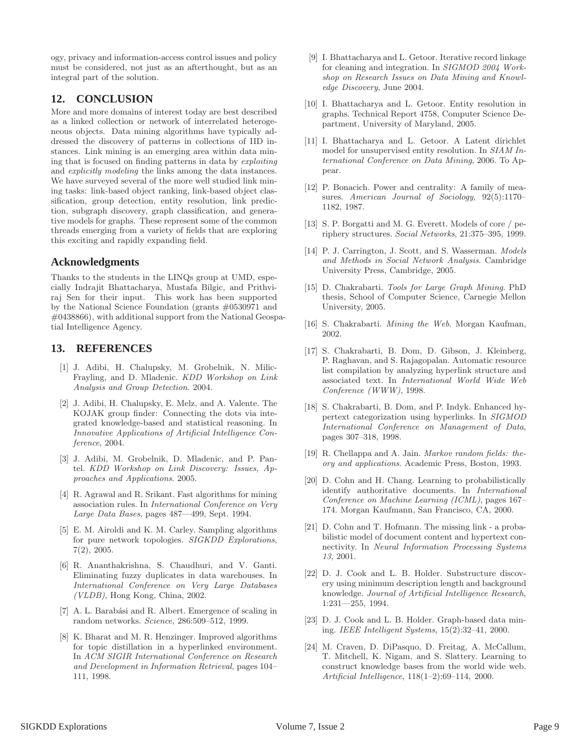ogy, privacy and information-access control issues and policy must be considered, not just as an afterthought, but as an integral part of the solution.

# **12. CONCLUSION**

More and more domains of interest today are best described as a linked collection or network of interrelated heterogeneous objects. Data mining algorithms have typically addressed the discovery of patterns in collections of IID instances. Link mining is an emerging area within data mining that is focused on finding patterns in data by exploiting and explicitly modeling the links among the data instances. We have surveyed several of the more well studied link mining tasks: link-based object ranking, link-based object classification, group detection, entity resolution, link prediction, subgraph discovery, graph classification, and generative models for graphs. These represent some of the common threads emerging from a variety of fields that are exploring this exciting and rapidly expanding field.

#### **Acknowledgments**

Thanks to the students in the LINQs group at UMD, especially Indrajit Bhattacharya, Mustafa Bilgic, and Prithviraj Sen for their input. This work has been supported by the National Science Foundation (grants #0530971 and #0438866), with additional support from the National Geospatial Intelligence Agency.

#### **13. REFERENCES**

- [1] J. Adibi, H. Chalupsky, M. Grobelnik, N. Milic-Frayling, and D. Mladenic. KDD Workshop on Link Analysis and Group Detection. 2004.
- [2] J. Adibi, H. Chalupsky, E. Melz, and A. Valente. The KOJAK group finder: Connecting the dots via integrated knowledge-based and statistical reasoning. In Innovative Applications of Artificial Intelligence Conference, 2004.
- [3] J. Adibi, M. Grobelnik, D. Mladenic, and P. Pantel. KDD Workshop on Link Discovery: Issues, Approaches and Applications. 2005.
- [4] R. Agrawal and R. Srikant. Fast algorithms for mining association rules. In International Conference on Very Large Data Bases, pages 487—499, Sept. 1994.
- [5] E. M. Airoldi and K. M. Carley. Sampling algorithms for pure network topologies. SIGKDD Explorations, 7(2), 2005.
- [6] R. Ananthakrishna, S. Chaudhuri, and V. Ganti. Eliminating fuzzy duplicates in data warehouses. In International Conference on Very Large Databases (VLDB), Hong Kong, China, 2002.
- [7] A. L. Barabási and R. Albert. Emergence of scaling in random networks. Science, 286:509–512, 1999.
- [8] K. Bharat and M. R. Henzinger. Improved algorithms for topic distillation in a hyperlinked environment. In ACM SIGIR International Conference on Research and Development in Information Retrieval, pages 104– 111, 1998.
- [9] I. Bhattacharya and L. Getoor. Iterative record linkage for cleaning and integration. In SIGMOD 2004 Workshop on Research Issues on Data Mining and Knowledge Discovery, June 2004.
- [10] I. Bhattacharya and L. Getoor. Entity resolution in graphs. Technical Report 4758, Computer Science Department, University of Maryland, 2005.
- [11] I. Bhattacharya and L. Getoor. A Latent dirichlet model for unsupervised entity resolution. In SIAM International Conference on Data Mining, 2006. To Appear.
- [12] P. Bonacich. Power and centrality: A family of measures. American Journal of Sociology, 92(5):1170– 1182, 1987.
- [13] S. P. Borgatti and M. G. Everett. Models of core / periphery structures. Social Networks, 21:375–395, 1999.
- [14] P. J. Carrington, J. Scott, and S. Wasserman. Models and Methods in Social Network Analysis. Cambridge University Press, Cambridge, 2005.
- [15] D. Chakrabarti. Tools for Large Graph Mining. PhD thesis, School of Computer Science, Carnegie Mellon University, 2005.
- [16] S. Chakrabarti. Mining the Web. Morgan Kaufman, 2002.
- [17] S. Chakrabarti, B. Dom, D. Gibson, J. Kleinberg, P. Raghavan, and S. Rajagopalan. Automatic resource list compilation by analyzing hyperlink structure and associated text. In International World Wide Web Conference (WWW), 1998.
- [18] S. Chakrabarti, B. Dom, and P. Indyk. Enhanced hypertext categorization using hyperlinks. In SIGMOD International Conference on Management of Data, pages 307–318, 1998.
- [19] R. Chellappa and A. Jain. *Markov random fields: the*ory and applications. Academic Press, Boston, 1993.
- [20] D. Cohn and H. Chang. Learning to probabilistically identify authoritative documents. In International Conference on Machine Learning (ICML), pages 167– 174. Morgan Kaufmann, San Francisco, CA, 2000.
- [21] D. Cohn and T. Hofmann. The missing link a probabilistic model of document content and hypertext connectivity. In Neural Information Processing Systems 13, 2001.
- [22] D. J. Cook and L. B. Holder. Substructure discovery using minimum description length and background knowledge. Journal of Artificial Intelligence Research, 1:231—255, 1994.
- [23] D. J. Cook and L. B. Holder. Graph-based data mining. IEEE Intelligent Systems, 15(2):32–41, 2000.
- [24] M. Craven, D. DiPasquo, D. Freitag, A. McCallum, T. Mitchell, K. Nigam, and S. Slattery. Learning to construct knowledge bases from the world wide web. Artificial Intelligence, 118(1–2):69–114, 2000.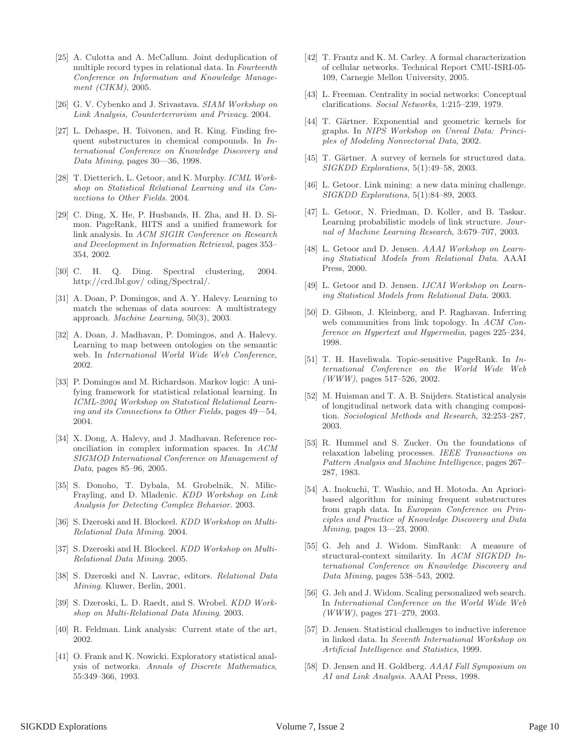- [25] A. Culotta and A. McCallum. Joint deduplication of multiple record types in relational data. In Fourteenth Conference on Information and Knowledge Management (CIKM), 2005.
- [26] G. V. Cybenko and J. Srivastava. SIAM Workshop on Link Analysis, Counterterrorism and Privacy. 2004.
- [27] L. Dehaspe, H. Toivonen, and R. King. Finding frequent substructures in chemical compounds. In International Conference on Knowledge Discovery and Data Mining, pages 30—36, 1998.
- [28] T. Dietterich, L. Getoor, and K. Murphy. ICML Workshop on Statistical Relational Learning and its Connections to Other Fields. 2004.
- [29] C. Ding, X. He, P. Husbands, H. Zha, and H. D. Simon. PageRank, HITS and a unified framework for link analysis. In ACM SIGIR Conference on Research and Development in Information Retrieval, pages 353– 354, 2002.
- [30] C. H. Q. Ding. Spectral clustering, 2004. http://crd.lbl.gov/ cding/Spectral/.
- [31] A. Doan, P. Domingos, and A. Y. Halevy. Learning to match the schemas of data sources: A multistrategy approach. Machine Learning, 50(3), 2003.
- [32] A. Doan, J. Madhavan, P. Domingos, and A. Halevy. Learning to map between ontologies on the semantic web. In International World Wide Web Conference, 2002.
- [33] P. Domingos and M. Richardson. Markov logic: A unifying framework for statistical relational learning. In ICML-2004 Workshop on Statistical Relational Learning and its Connections to Other Fields, pages 49—54, 2004.
- [34] X. Dong, A. Halevy, and J. Madhavan. Reference reconciliation in complex information spaces. In ACM SIGMOD International Conference on Management of Data, pages 85–96, 2005.
- [35] S. Donoho, T. Dybala, M. Grobelnik, N. Milic-Frayling, and D. Mladenic. KDD Workshop on Link Analysis for Detecting Complex Behavior. 2003.
- [36] S. Dzeroski and H. Blockeel. KDD Workshop on Multi-Relational Data Mining. 2004.
- [37] S. Dzeroski and H. Blockeel. KDD Workshop on Multi-Relational Data Mining. 2005.
- [38] S. Dzeroski and N. Lavrac, editors. Relational Data Mining. Kluwer, Berlin, 2001.
- [39] S. Dzeroski, L. D. Raedt, and S. Wrobel. KDD Workshop on Multi-Relational Data Mining. 2003.
- [40] R. Feldman. Link analysis: Current state of the art, 2002.
- [41] O. Frank and K. Nowicki. Exploratory statistical analysis of networks. Annals of Discrete Mathematics, 55:349–366, 1993.
- [42] T. Frantz and K. M. Carley. A formal characterization of cellular networks. Technical Report CMU-ISRI-05- 109, Carnegie Mellon University, 2005.
- [43] L. Freeman. Centrality in social networks: Conceptual clarifications. Social Networks, 1:215–239, 1979.
- [44] T. Gärtner. Exponential and geometric kernels for graphs. In NIPS Workshop on Unreal Data: Principles of Modeling Nonvectorial Data, 2002.
- [45] T. Gärtner. A survey of kernels for structured data. SIGKDD Explorations, 5(1):49–58, 2003.
- [46] L. Getoor. Link mining: a new data mining challenge. SIGKDD Explorations, 5(1):84–89, 2003.
- [47] L. Getoor, N. Friedman, D. Koller, and B. Taskar. Learning probabilistic models of link structure. Journal of Machine Learning Research, 3:679–707, 2003.
- [48] L. Getoor and D. Jensen. AAAI Workshop on Learning Statistical Models from Relational Data. AAAI Press, 2000.
- [49] L. Getoor and D. Jensen. *IJCAI Workshop on Learn*ing Statistical Models from Relational Data. 2003.
- [50] D. Gibson, J. Kleinberg, and P. Raghavan. Inferring web communities from link topology. In ACM Conference on Hypertext and Hypermedia, pages 225–234, 1998.
- [51] T. H. Haveliwala. Topic-sensitive PageRank. In International Conference on the World Wide Web (WWW), pages 517–526, 2002.
- [52] M. Huisman and T. A. B. Snijders. Statistical analysis of longitudinal network data with changing composition. Sociological Methods and Research, 32:253–287, 2003.
- [53] R. Hummel and S. Zucker. On the foundations of relaxation labeling processes. IEEE Transactions on Pattern Analysis and Machine Intelligence, pages 267– 287, 1983.
- [54] A. Inokuchi, T. Washio, and H. Motoda. An Aprioribased algorithm for mining frequent substructures from graph data. In European Conference on Principles and Practice of Knowledge Discovery and Data Mining, pages 13—23, 2000.
- [55] G. Jeh and J. Widom. SimRank: A measure of structural-context similarity. In ACM SIGKDD International Conference on Knowledge Discovery and Data Mining, pages 538–543, 2002.
- [56] G. Jeh and J. Widom. Scaling personalized web search. In International Conference on the World Wide Web (WWW), pages 271–279, 2003.
- [57] D. Jensen. Statistical challenges to inductive inference in linked data. In Seventh International Workshop on Artificial Intelligence and Statistics, 1999.
- [58] D. Jensen and H. Goldberg. AAAI Fall Symposium on AI and Link Analysis. AAAI Press, 1998.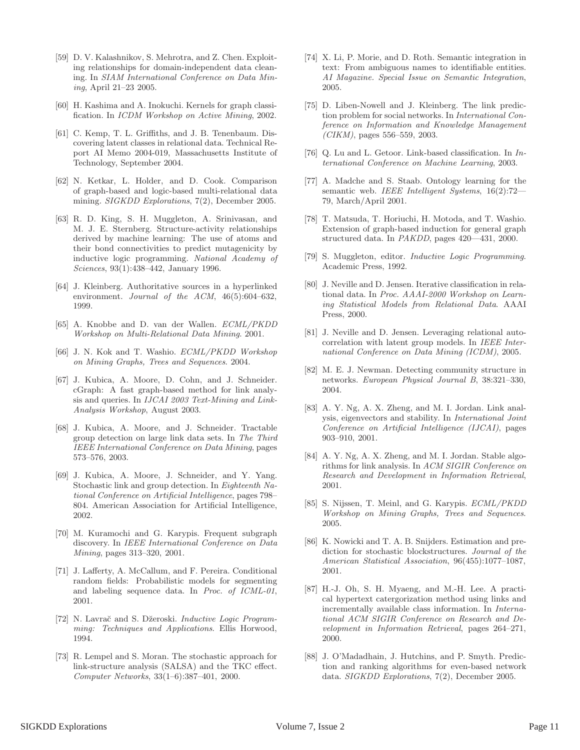- [59] D. V. Kalashnikov, S. Mehrotra, and Z. Chen. Exploiting relationships for domain-independent data cleaning. In SIAM International Conference on Data Mining, April 21–23 2005.
- [60] H. Kashima and A. Inokuchi. Kernels for graph classification. In ICDM Workshop on Active Mining, 2002.
- [61] C. Kemp, T. L. Griffiths, and J. B. Tenenbaum. Discovering latent classes in relational data. Technical Report AI Memo 2004-019, Massachusetts Institute of Technology, September 2004.
- [62] N. Ketkar, L. Holder, and D. Cook. Comparison of graph-based and logic-based multi-relational data mining. SIGKDD Explorations, 7(2), December 2005.
- [63] R. D. King, S. H. Muggleton, A. Srinivasan, and M. J. E. Sternberg. Structure-activity relationships derived by machine learning: The use of atoms and their bond connectivities to predict mutagenicity by inductive logic programming. National Academy of Sciences, 93(1):438–442, January 1996.
- [64] J. Kleinberg. Authoritative sources in a hyperlinked environment. Journal of the ACM, 46(5):604-632, 1999.
- [65] A. Knobbe and D. van der Wallen. ECML/PKDD Workshop on Multi-Relational Data Mining. 2001.
- [66] J. N. Kok and T. Washio. ECML/PKDD Workshop on Mining Graphs, Trees and Sequences. 2004.
- [67] J. Kubica, A. Moore, D. Cohn, and J. Schneider. cGraph: A fast graph-based method for link analysis and queries. In IJCAI 2003 Text-Mining and Link-Analysis Workshop, August 2003.
- [68] J. Kubica, A. Moore, and J. Schneider. Tractable group detection on large link data sets. In The Third IEEE International Conference on Data Mining, pages 573–576, 2003.
- [69] J. Kubica, A. Moore, J. Schneider, and Y. Yang. Stochastic link and group detection. In Eighteenth National Conference on Artificial Intelligence, pages 798– 804. American Association for Artificial Intelligence, 2002.
- [70] M. Kuramochi and G. Karypis. Frequent subgraph discovery. In IEEE International Conference on Data Mining, pages 313–320, 2001.
- [71] J. Lafferty, A. McCallum, and F. Pereira. Conditional random fields: Probabilistic models for segmenting and labeling sequence data. In Proc. of ICML-01, 2001.
- [72] N. Lavrač and S. Džeroski. Inductive Logic Programming: Techniques and Applications. Ellis Horwood, 1994.
- [73] R. Lempel and S. Moran. The stochastic approach for link-structure analysis (SALSA) and the TKC effect. Computer Networks, 33(1–6):387–401, 2000.
- [74] X. Li, P. Morie, and D. Roth. Semantic integration in text: From ambiguous names to identifiable entities. AI Magazine. Special Issue on Semantic Integration, 2005.
- [75] D. Liben-Nowell and J. Kleinberg. The link prediction problem for social networks. In International Conference on Information and Knowledge Management  $(CIKM)$ , pages 556–559, 2003.
- [76] Q. Lu and L. Getoor. Link-based classification. In International Conference on Machine Learning, 2003.
- [77] A. Madche and S. Staab. Ontology learning for the semantic web. IEEE Intelligent Systems, 16(2):72-79, March/April 2001.
- [78] T. Matsuda, T. Horiuchi, H. Motoda, and T. Washio. Extension of graph-based induction for general graph structured data. In PAKDD, pages 420—431, 2000.
- [79] S. Muggleton, editor. Inductive Logic Programming. Academic Press, 1992.
- [80] J. Neville and D. Jensen. Iterative classification in relational data. In Proc. AAAI-2000 Workshop on Learning Statistical Models from Relational Data. AAAI Press, 2000.
- [81] J. Neville and D. Jensen. Leveraging relational autocorrelation with latent group models. In IEEE International Conference on Data Mining (ICDM), 2005.
- [82] M. E. J. Newman. Detecting community structure in networks. European Physical Journal B, 38:321–330, 2004.
- [83] A. Y. Ng, A. X. Zheng, and M. I. Jordan. Link analysis, eigenvectors and stability. In International Joint Conference on Artificial Intelligence (IJCAI), pages 903–910, 2001.
- [84] A. Y. Ng, A. X. Zheng, and M. I. Jordan. Stable algorithms for link analysis. In ACM SIGIR Conference on Research and Development in Information Retrieval, 2001.
- [85] S. Nijssen, T. Meinl, and G. Karypis. ECML/PKDD Workshop on Mining Graphs, Trees and Sequences. 2005.
- [86] K. Nowicki and T. A. B. Snijders. Estimation and prediction for stochastic blockstructures. Journal of the American Statistical Association, 96(455):1077–1087, 2001.
- [87] H.-J. Oh, S. H. Myaeng, and M.-H. Lee. A practical hypertext catergorization method using links and incrementally available class information. In International ACM SIGIR Conference on Research and Development in Information Retrieval, pages 264–271, 2000.
- [88] J. O'Madadhain, J. Hutchins, and P. Smyth. Prediction and ranking algorithms for even-based network data. SIGKDD Explorations, 7(2), December 2005.